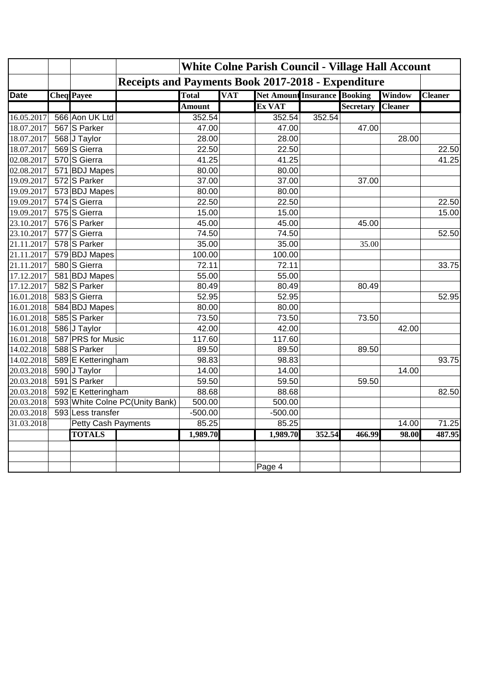|             |                     |                                | <b>White Colne Parish Council - Village Hall Account</b>  |            |                                     |        |                  |                |                |
|-------------|---------------------|--------------------------------|-----------------------------------------------------------|------------|-------------------------------------|--------|------------------|----------------|----------------|
|             |                     |                                | <b>Receipts and Payments Book 2017-2018 - Expenditure</b> |            |                                     |        |                  |                |                |
| <b>Date</b> | <b>Cheq</b> Payee   |                                | <b>Total</b>                                              | <b>VAT</b> | <b>Net Amount Insurance Booking</b> |        |                  | Window         | <b>Cleaner</b> |
|             |                     |                                | <b>Amount</b>                                             |            | Ex VAT                              |        | <b>Secretary</b> | <b>Cleaner</b> |                |
| 16.05.2017  | 566 Aon UK Ltd      |                                | 352.54                                                    |            | 352.54                              | 352.54 |                  |                |                |
| 18.07.2017  | 567 S Parker        |                                | 47.00                                                     |            | 47.00                               |        | 47.00            |                |                |
| 18.07.2017  | 568 J Taylor        |                                | 28.00                                                     |            | 28.00                               |        |                  | 28.00          |                |
| 18.07.2017  | 569 S Gierra        |                                | 22.50                                                     |            | 22.50                               |        |                  |                | 22.50          |
| 02.08.2017  | 570 S Gierra        |                                | 41.25                                                     |            | 41.25                               |        |                  |                | 41.25          |
| 02.08.2017  | 571 BDJ Mapes       |                                | 80.00                                                     |            | 80.00                               |        |                  |                |                |
| 19.09.2017  | 572 S Parker        |                                | 37.00                                                     |            | 37.00                               |        | 37.00            |                |                |
| 19.09.2017  | 573 BDJ Mapes       |                                | 80.00                                                     |            | 80.00                               |        |                  |                |                |
| 19.09.2017  | 574 S Gierra        |                                | 22.50                                                     |            | 22.50                               |        |                  |                | 22.50          |
| 19.09.2017  | 575 S Gierra        |                                | 15.00                                                     |            | 15.00                               |        |                  |                | 15.00          |
| 23.10.2017  | 576 S Parker        |                                | 45.00                                                     |            | 45.00                               |        | 45.00            |                |                |
| 23.10.2017  | 577 S Gierra        |                                | 74.50                                                     |            | 74.50                               |        |                  |                | 52.50          |
| 21.11.2017  | 578 S Parker        |                                | 35.00                                                     |            | 35.00                               |        | 35.00            |                |                |
| 21.11.2017  | 579 BDJ Mapes       |                                | 100.00                                                    |            | 100.00                              |        |                  |                |                |
| 21.11.2017  | 580 S Gierra        |                                | 72.11                                                     |            | 72.11                               |        |                  |                | 33.75          |
| 17.12.2017  | 581 BDJ Mapes       |                                | 55.00                                                     |            | 55.00                               |        |                  |                |                |
| 17.12.2017  | 582 S Parker        |                                | 80.49                                                     |            | 80.49                               |        | 80.49            |                |                |
| 16.01.2018  | 583 S Gierra        |                                | 52.95                                                     |            | 52.95                               |        |                  |                | 52.95          |
| 16.01.2018  | 584 BDJ Mapes       |                                | 80.00                                                     |            | 80.00                               |        |                  |                |                |
| 16.01.2018  | 585 S Parker        |                                | 73.50                                                     |            | 73.50                               |        | 73.50            |                |                |
| 16.01.2018  | 586 J Taylor        |                                | 42.00                                                     |            | 42.00                               |        |                  | 42.00          |                |
| 16.01.2018  | 587 PRS for Music   |                                | 117.60                                                    |            | 117.60                              |        |                  |                |                |
| 14.02.2018  | 588 S Parker        |                                | 89.50                                                     |            | 89.50                               |        | 89.50            |                |                |
| 14.02.2018  | 589 E Ketteringham  |                                | 98.83                                                     |            | 98.83                               |        |                  |                | 93.75          |
| 20.03.2018  | 590 J Taylor        |                                | 14.00                                                     |            | 14.00                               |        |                  | 14.00          |                |
| 20.03.2018  | 591 S Parker        |                                | 59.50                                                     |            | 59.50                               |        | 59.50            |                |                |
| 20.03.2018  | 592 E Ketteringham  |                                | 88.68                                                     |            | 88.68                               |        |                  |                | 82.50          |
| 20.03.2018  |                     | 593 White Colne PC(Unity Bank) | 500.00                                                    |            | 500.00                              |        |                  |                |                |
| 20.03.2018  | 593 Less transfer   |                                | $-500.00$                                                 |            | $-500.00$                           |        |                  |                |                |
| 31.03.2018  | Petty Cash Payments |                                | 85.25                                                     |            | 85.25                               |        |                  | 14.00          | 71.25          |
|             | <b>TOTALS</b>       |                                | 1,989.70                                                  |            | 1,989.70                            | 352.54 | 466.99           | 98.00          | 487.95         |
|             |                     |                                |                                                           |            |                                     |        |                  |                |                |
|             |                     |                                |                                                           |            |                                     |        |                  |                |                |
|             |                     |                                |                                                           |            | Page 4                              |        |                  |                |                |